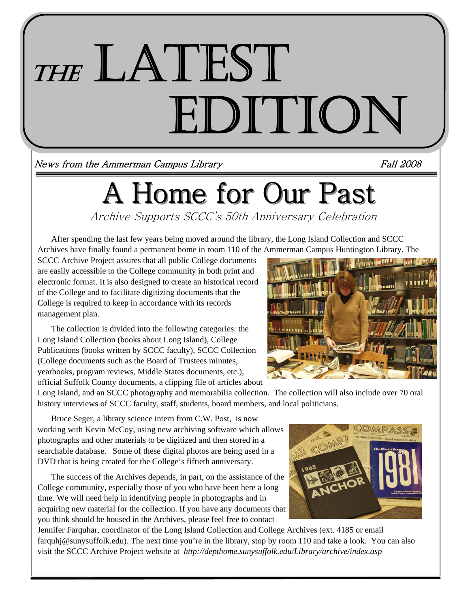# THE LATEST<br>EDITION

News from the Ammerman Campus Library Fall 2008

# A Home for Our Past

Archive Supports SCCC's 50th Anniversary Celebration

After spending the last few years being moved around the library, the Long Island Collection and SCCC Archives have finally found a permanent home in room 110 of the Ammerman Campus Huntington Library. The

SCCC Archive Project assures that all public College documents are easily accessible to the College community in both print and electronic format. It is also designed to create an historical record of the College and to facilitate digitizing documents that the College is required to keep in accordance with its records management plan.

 The collection is divided into the following categories: the Long Island Collection (books about Long Island), College Publications (books written by SCCC faculty), SCCC Collection (College documents such as the Board of Trustees minutes, yearbooks, program reviews, Middle States documents, etc.), official Suffolk County documents, a clipping file of articles about



Long Island, and an SCCC photography and memorabilia collection. The collection will also include over 70 oral history interviews of SCCC faculty, staff, students, board members, and local politicians.

 Bruce Seger, a library science intern from C.W. Post, is now working with Kevin McCoy, using new archiving software which allows photographs and other materials to be digitized and then stored in a searchable database. Some of these digital photos are being used in a DVD that is being created for the College's fiftieth anniversary.

 The success of the Archives depends, in part, on the assistance of the College community, especially those of you who have been here a long time. We will need help in identifying people in photographs and in acquiring new material for the collection. If you have any documents that you think should be housed in the Archives, please feel free to contact



Jennifer Farquhar, coordinator of the Long Island Collection and College Archives (ext. 4185 or email farquhj@sunysuffolk.edu). The next time you're in the library, stop by room 110 and take a look. You can also visit the SCCC Archive Project website at *http://depthome.sunysuffolk.edu/Library/archive/index.asp*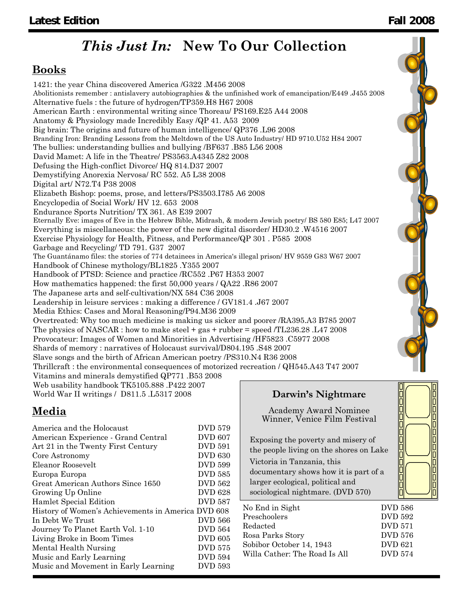### *This Just In:* **New To Our Collection**

#### **Books**

1421: the year China discovered America /G322 .M456 2008 Abolitionists remember : antislavery autobiographies & the unfinished work of emancipation/E449 .J455 2008 Alternative fuels : the future of hydrogen/TP359.H8 H67 2008 American Earth : environmental writing since Thoreau/ PS169.E25 A44 2008 Anatomy & Physiology made Incredibly Easy /QP 41. A53 2009 Big brain: The origins and future of human intelligence/ QP376 .L96 2008 Branding Iron: Branding Lessons from the Meltdown of the US Auto Industry/ HD 9710.U52 H84 2007 The bullies: understanding bullies and bullying /BF637 .B85 L56 2008 David Mamet: A life in the Theatre/ PS3563.A4345 Z82 2008 Defusing the High-conflict Divorce/ HQ 814.D37 2007 Demystifying Anorexia Nervosa/ RC 552. A5 L38 2008 Digital art/ N72.T4 P38 2008 Elizabeth Bishop: poems, prose, and letters/PS3503.I785 A6 2008 Encyclopedia of Social Work/ HV 12. 653 2008 Endurance Sports Nutrition/ TX 361. A8 E39 2007 Eternally Eve: images of Eve in the Hebrew Bible, Midrash, & modern Jewish poetry/ BS 580 E85; L47 2007 Everything is miscellaneous: the power of the new digital disorder/ HD30.2 .W4516 2007 Exercise Physiology for Health, Fitness, and Performance/QP 301 . P585 2008 Garbage and Recycling/ TD 791. G37 2007 The Guantánamo files: the stories of 774 detainees in America's illegal prison/ HV 9559 G83 W67 2007 Handbook of Chinese mythology/BL1825 .Y355 2007 Handbook of PTSD: Science and practice /RC552 .P67 H353 2007 How mathematics happened: the first 50,000 years / QA22 .R86 2007 The Japanese arts and self-cultivation/NX 584 C36 2008 Leadership in leisure services : making a difference / GV181.4 .J67 2007 Media Ethics: Cases and Moral Reasoning/P94.M36 2009 Overtreated: Why too much medicine is making us sicker and poorer /RA395.A3 B785 2007 The physics of NASCAR : how to make steel  $+$  gas  $+$  rubber = speed /TL236.28 .L47 2008 Provocateur: Images of Women and Minorities in Advertising /HF5823 .C5977 2008 Shards of memory : narratives of Holocaust survival/D804.195 .S48 2007 Slave songs and the birth of African American poetry /PS310.N4 R36 2008 Thrillcraft : the environmental consequences of motorized recreation / QH545.A43 T47 2007 Vitamins and minerals demystified QP771 .B53 2008 Web usability handbook TK5105.888 .P422 2007 World War II writings / D811.5 .L5317 2008 **Darwin's Nightmare** 

#### **Media**

| America and the Holocaust                          | DVD 579        |
|----------------------------------------------------|----------------|
| American Experience - Grand Central                | <b>DVD 607</b> |
| Art 21 in the Twenty First Century                 | <b>DVD 591</b> |
| Core Astronomy                                     | <b>DVD 630</b> |
| Eleanor Roosevelt                                  | <b>DVD 599</b> |
| Europa Europa                                      | <b>DVD 585</b> |
| Great American Authors Since 1650                  | DVD 562        |
| Growing Up Online                                  | <b>DVD 628</b> |
| Hamlet Special Edition                             | DVD 587        |
| History of Women's Achievements in America DVD 608 |                |
| In Debt We Trust                                   | <b>DVD 566</b> |
| Journey To Planet Earth Vol. 1-10                  | DVD 564        |
| Living Broke in Boom Times                         | <b>DVD 605</b> |
| Mental Health Nursing                              | <b>DVD 575</b> |
| Music and Early Learning                           | DVD 594        |
| Music and Movement in Early Learning               | DVD 593        |

Academy Award Nominee Winner, Venice Film Festival

Exposing the poverty and misery of the people living on the shores on Lake Victoria in Tanzania, this documentary shows how it is part of a larger ecological, political and sociological nightmare. (DVD 570)

| No End in Sight               | <b>DVD 586</b> |
|-------------------------------|----------------|
| Preschoolers                  | DVD 592        |
| Redacted                      | <b>DVD 571</b> |
| Rosa Parks Story              | <b>DVD 576</b> |
| Sobibor October 14, 1943      | <b>DVD 621</b> |
| Willa Cather: The Road Is All | <b>DVD 574</b> |



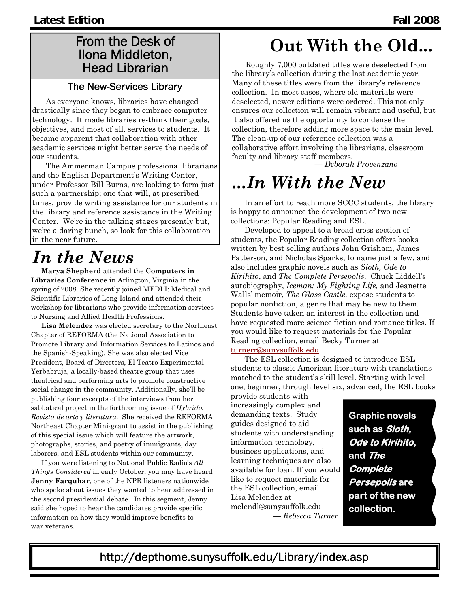#### From the Desk of Ilona Middleton, Head Librarian

#### The New-Services Library

As everyone knows, libraries have changed drastically since they began to embrace computer technology. It made libraries re-think their goals, objectives, and most of all, services to students. It became apparent that collaboration with other academic services might better serve the needs of our students.

The Ammerman Campus professional librarians and the English Department's Writing Center, under Professor Bill Burns, are looking to form just such a partnership; one that will, at prescribed times, provide writing assistance for our students in the library and reference assistance in the Writing Center. We're in the talking stages presently but, we're a daring bunch, so look for this collaboration in the near future.

## *In the News*

**Marya Shepherd** attended the **Computers in Libraries Conference** in Arlington, Virginia in the spring of 2008. She recently joined MEDLI: Medical and Scientific Libraries of Long Island and attended their workshop for librarians who provide information services to Nursing and Allied Health Professions.

**Lisa Melendez** was elected secretary to the Northeast Chapter of REFORMA (the National Association to Promote Library and Information Services to Latinos and the Spanish-Speaking). She was also elected Vice President, Board of Directors, El Teatro Experimental Yerbabruja, a locally-based theatre group that uses theatrical and performing arts to promote constructive social change in the community. Additionally, she'll be publishing four excerpts of the interviews from her sabbatical project in the forthcoming issue of *Hybrido: Revista de arte y literatura*. She received the REFORMA Northeast Chapter Mini-grant to assist in the publishing of this special issue which will feature the artwork, photographs, stories, and poetry of immigrants, day laborers, and ESL students within our community.

If you were listening to National Public Radio's *All Things Considered* in early October, you may have heard **Jenny Farquhar**, one of the NPR listeners nationwide who spoke about issues they wanted to hear addressed in the second presidential debate. In this segment, Jenny said she hoped to hear the candidates provide specific information on how they would improve benefits to war veterans.

# **Out With the Old...**

Roughly 7,000 outdated titles were deselected from the library's collection during the last academic year. Many of these titles were from the library's reference collection. In most cases, where old materials were deselected, newer editions were ordered. This not only ensures our collection will remain vibrant and useful, but it also offered us the opportunity to condense the collection, therefore adding more space to the main level. The clean-up of our reference collection was a collaborative effort involving the librarians, classroom faculty and library staff members. *— Deborah Provenzano*

# *...In With the New*

In an effort to reach more SCCC students, the library is happy to announce the development of two new collections: Popular Reading and ESL.

Developed to appeal to a broad cross-section of students, the Popular Reading collection offers books written by best selling authors John Grisham, James Patterson, and Nicholas Sparks, to name just a few, and also includes graphic novels such as *Sloth, Ode to Kirihito*, and *The Complete Persepolis*. Chuck Liddell's autobiography, *Iceman: My Fighting Life,* and Jeanette Walls' memoir, *The Glass Castle,* expose students to popular nonfiction, a genre that may be new to them. Students have taken an interest in the collection and have requested more science fiction and romance titles. If you would like to request materials for the Popular Reading collection, email Becky Turner at turnerr@sunysuffolk.edu.

The ESL collection is designed to introduce ESL students to classic American literature with translations matched to the student's skill level. Starting with level one, beginner, through level six, advanced, the ESL books

provide students with increasingly complex and demanding texts. Study guides designed to aid students with understanding information technology, business applications, and learning techniques are also available for loan. If you would like to request materials for the ESL collection, email Lisa Melendez at melendl@sunysuffolk.edu *— Rebecca Turner*

**Graphic novels such as Sloth, Ode to Kirihito, and The Complete Persepolis are part of the new collection.** 

http://depthome.sunysuffolk.edu/Library/index.asp